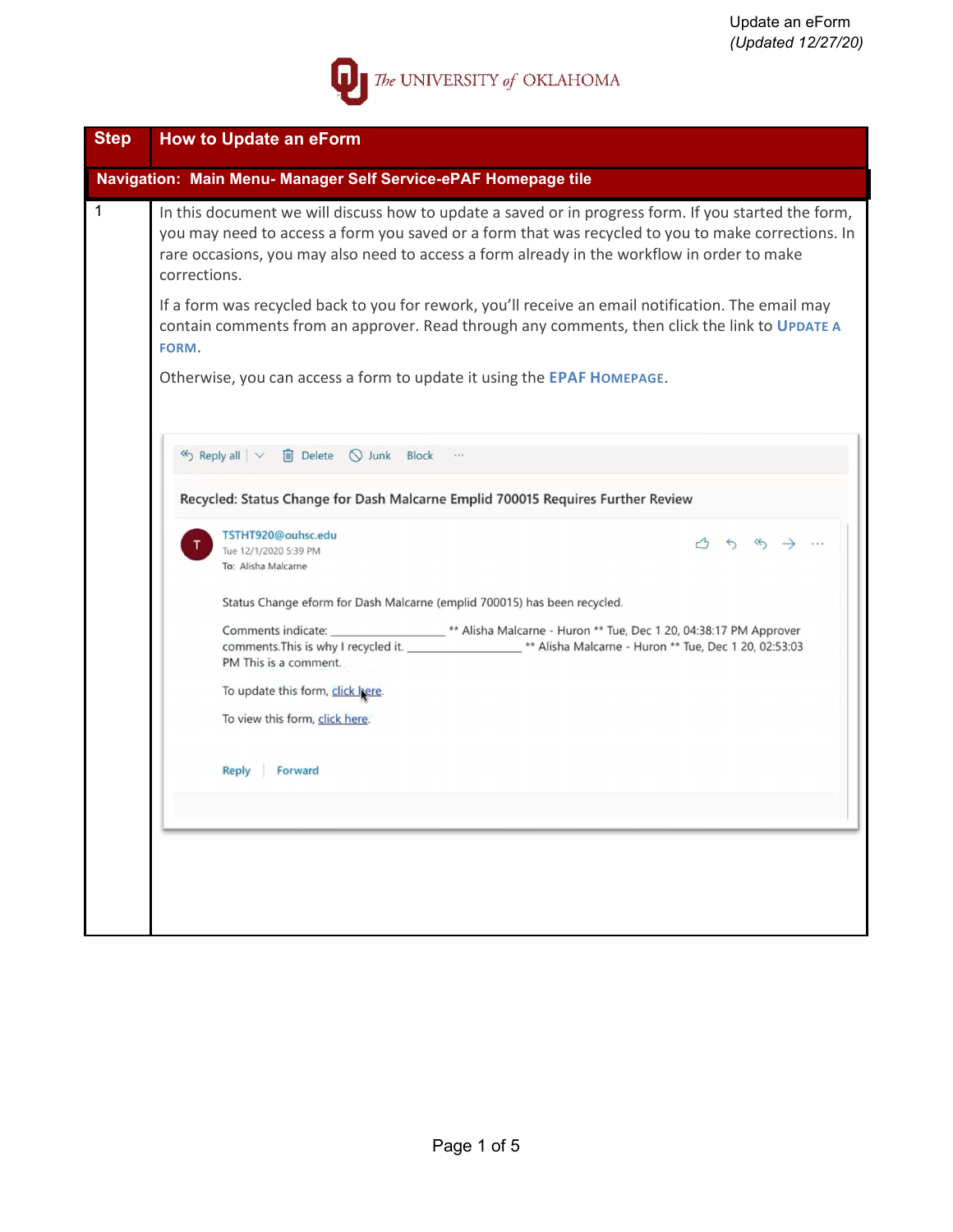

| <b>Step</b> | <b>How to Update an eForm</b>                                                                                                                                                                                                                                                                                             |  |  |  |  |  |  |  |
|-------------|---------------------------------------------------------------------------------------------------------------------------------------------------------------------------------------------------------------------------------------------------------------------------------------------------------------------------|--|--|--|--|--|--|--|
|             | Navigation: Main Menu- Manager Self Service-ePAF Homepage tile                                                                                                                                                                                                                                                            |  |  |  |  |  |  |  |
| 1           | In this document we will discuss how to update a saved or in progress form. If you started the form,<br>you may need to access a form you saved or a form that was recycled to you to make corrections. In<br>rare occasions, you may also need to access a form already in the workflow in order to make<br>corrections. |  |  |  |  |  |  |  |
|             | If a form was recycled back to you for rework, you'll receive an email notification. The email may<br>contain comments from an approver. Read through any comments, then click the link to UPDATE A<br>FORM.                                                                                                              |  |  |  |  |  |  |  |
|             | Otherwise, you can access a form to update it using the EPAF HOMEPAGE.                                                                                                                                                                                                                                                    |  |  |  |  |  |  |  |
|             | $\cdots$                                                                                                                                                                                                                                                                                                                  |  |  |  |  |  |  |  |
|             | Recycled: Status Change for Dash Malcarne Emplid 700015 Requires Further Review                                                                                                                                                                                                                                           |  |  |  |  |  |  |  |
|             | TSTHT920@ouhsc.edu<br>△ 5 (5) → …<br>Tue 12/1/2020 5:39 PM<br>To: Alisha Malcarne                                                                                                                                                                                                                                         |  |  |  |  |  |  |  |
|             | Status Change eform for Dash Malcarne (emplid 700015) has been recycled.                                                                                                                                                                                                                                                  |  |  |  |  |  |  |  |
|             | Comments indicate: ______________________________** Alisha Malcarne - Huron ** Tue, Dec 1 20, 04:38:17 PM Approver<br>comments. This is why I recycled it. ____________________** Alisha Malcarne - Huron ** Tue, Dec 1 20, 02:53:03<br>PM This is a comment.                                                             |  |  |  |  |  |  |  |
|             | To update this form, click bere.<br>To view this form, click here.                                                                                                                                                                                                                                                        |  |  |  |  |  |  |  |
|             | Forward<br>Reply                                                                                                                                                                                                                                                                                                          |  |  |  |  |  |  |  |
|             |                                                                                                                                                                                                                                                                                                                           |  |  |  |  |  |  |  |
|             |                                                                                                                                                                                                                                                                                                                           |  |  |  |  |  |  |  |
|             |                                                                                                                                                                                                                                                                                                                           |  |  |  |  |  |  |  |
|             |                                                                                                                                                                                                                                                                                                                           |  |  |  |  |  |  |  |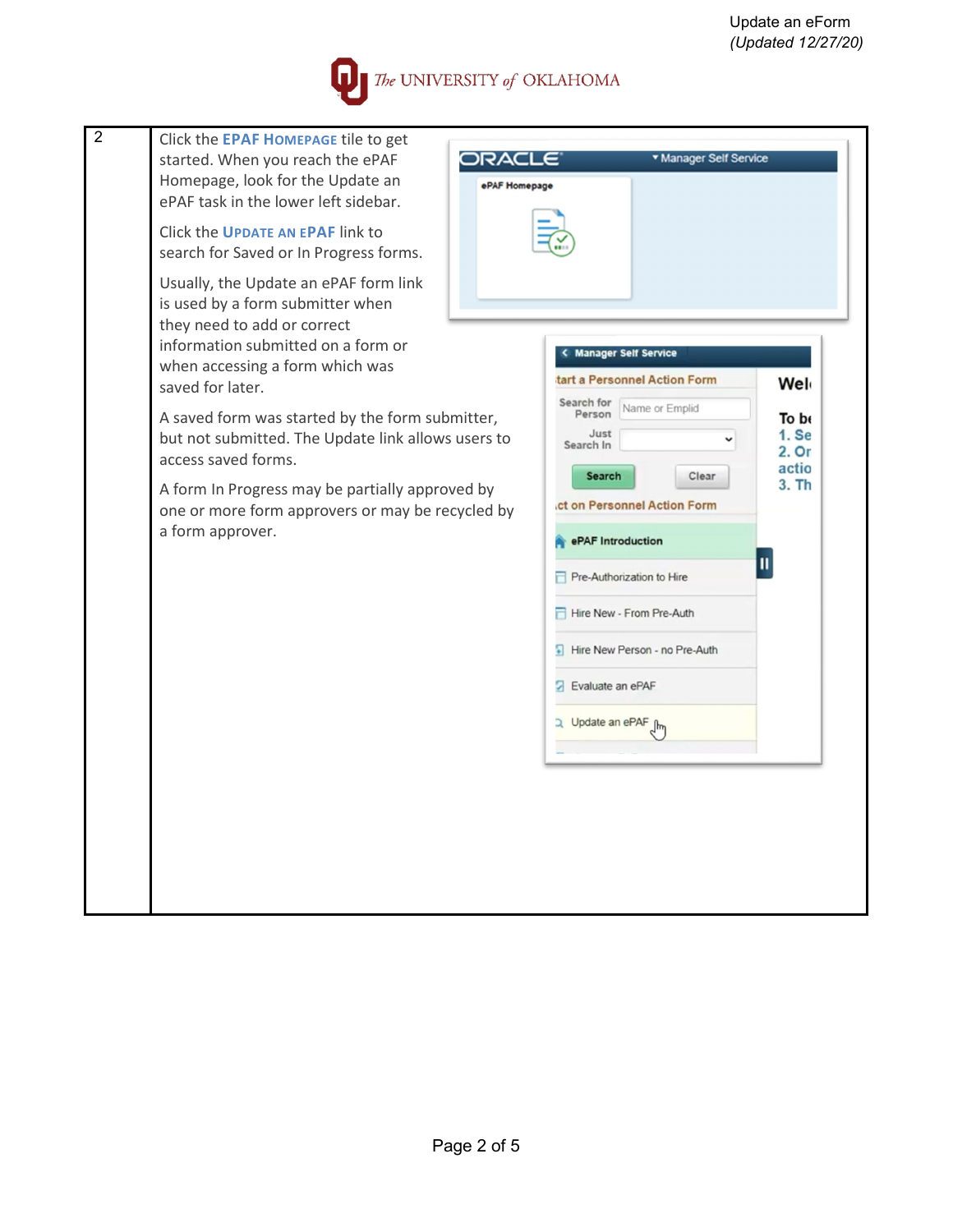## The UNIVERSITY of OKLAHOMA

| Click the EPAF HOMEPAGE tile to get                                                                                                                                                                                                                                                                                                                                                                                                                              |                                                                                                                                                                                                                                                                                                                                                                                          |
|------------------------------------------------------------------------------------------------------------------------------------------------------------------------------------------------------------------------------------------------------------------------------------------------------------------------------------------------------------------------------------------------------------------------------------------------------------------|------------------------------------------------------------------------------------------------------------------------------------------------------------------------------------------------------------------------------------------------------------------------------------------------------------------------------------------------------------------------------------------|
| started. When you reach the ePAF<br>Homepage, look for the Update an<br>ePAF task in the lower left sidebar.                                                                                                                                                                                                                                                                                                                                                     | ORACLE<br>▼ Manager Self Service<br>ePAF Homepage                                                                                                                                                                                                                                                                                                                                        |
| Click the UPDATE AN EPAF link to<br>search for Saved or In Progress forms.                                                                                                                                                                                                                                                                                                                                                                                       |                                                                                                                                                                                                                                                                                                                                                                                          |
| Usually, the Update an ePAF form link<br>is used by a form submitter when<br>they need to add or correct<br>information submitted on a form or<br>when accessing a form which was<br>saved for later.<br>A saved form was started by the form submitter,<br>but not submitted. The Update link allows users to<br>access saved forms.<br>A form In Progress may be partially approved by<br>one or more form approvers or may be recycled by<br>a form approver. | < Manager Self Service<br>tart a Personnel Action Form<br>Wel<br>Search for<br>Name or Emplid<br>Person<br>To be<br>1. Se<br>Just<br>Search In<br>2. Or<br>actio<br>Search<br>Clear<br>3. Th<br>ct on Personnel Action Form<br>ePAF Introduction<br>Ш<br>Pre-Authorization to Hire<br>Hire New - From Pre-Auth<br>Hire New Person - no Pre-Auth<br>Evaluate an ePAF<br>Update an ePAF Im |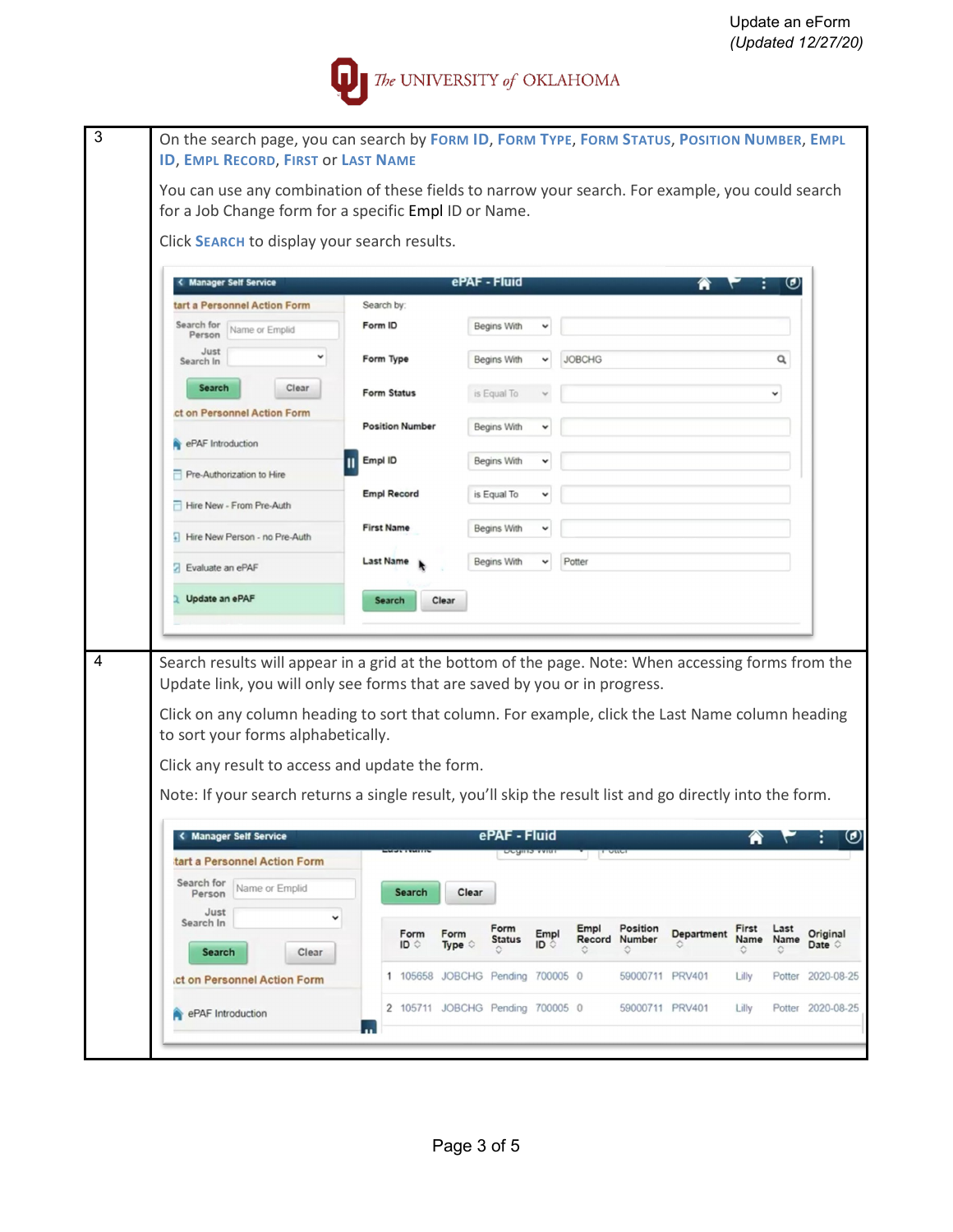

| Click SEARCH to display your search results.                                                                                                                                                                                                                                                                                                                                                                                                                                                                                                                                                           |                        | for a Job Change form for a specific Empl ID or Name. |              |               |                                |                   |                    |                         |
|--------------------------------------------------------------------------------------------------------------------------------------------------------------------------------------------------------------------------------------------------------------------------------------------------------------------------------------------------------------------------------------------------------------------------------------------------------------------------------------------------------------------------------------------------------------------------------------------------------|------------------------|-------------------------------------------------------|--------------|---------------|--------------------------------|-------------------|--------------------|-------------------------|
| < Manager Self Service                                                                                                                                                                                                                                                                                                                                                                                                                                                                                                                                                                                 |                        | ePAF - Fluid                                          |              |               |                                | 'n                |                    | $\boldsymbol{\Theta}$   |
| tart a Personnel Action Form                                                                                                                                                                                                                                                                                                                                                                                                                                                                                                                                                                           | Search by:             |                                                       |              |               |                                |                   |                    |                         |
| Search for<br>Name or Emplid<br>Person                                                                                                                                                                                                                                                                                                                                                                                                                                                                                                                                                                 | Form ID                | Begins With                                           |              |               |                                |                   |                    |                         |
| Just<br>Search In                                                                                                                                                                                                                                                                                                                                                                                                                                                                                                                                                                                      | Form Type              | Begins With                                           | v            | <b>JOBCHG</b> |                                |                   |                    | Q                       |
| <b>Search</b><br>Clear                                                                                                                                                                                                                                                                                                                                                                                                                                                                                                                                                                                 | Form Status            |                                                       |              |               |                                |                   |                    | $\check{ }$             |
| ct on Personnel Action Form                                                                                                                                                                                                                                                                                                                                                                                                                                                                                                                                                                            |                        | is Equal To                                           |              |               |                                |                   |                    |                         |
| ePAF Introduction                                                                                                                                                                                                                                                                                                                                                                                                                                                                                                                                                                                      | <b>Position Number</b> | Begins With                                           | v            |               |                                |                   |                    |                         |
|                                                                                                                                                                                                                                                                                                                                                                                                                                                                                                                                                                                                        | Empl ID                | Begins With                                           | v            |               |                                |                   |                    |                         |
| Pre-Authorization to Hire                                                                                                                                                                                                                                                                                                                                                                                                                                                                                                                                                                              | <b>Empl Record</b>     | is Equal To                                           | v            |               |                                |                   |                    |                         |
| Hire New - From Pre-Auth                                                                                                                                                                                                                                                                                                                                                                                                                                                                                                                                                                               | <b>First Name</b>      | Begins With                                           | $\check{~}$  |               |                                |                   |                    |                         |
| Hire New Person - no Pre-Auth                                                                                                                                                                                                                                                                                                                                                                                                                                                                                                                                                                          |                        |                                                       |              |               |                                |                   |                    |                         |
| <b>Evaluate an ePAF</b>                                                                                                                                                                                                                                                                                                                                                                                                                                                                                                                                                                                | Last Name              | Begins With                                           | v            | Potter        |                                |                   |                    |                         |
|                                                                                                                                                                                                                                                                                                                                                                                                                                                                                                                                                                                                        |                        |                                                       |              |               |                                |                   |                    |                         |
| Update an ePAF                                                                                                                                                                                                                                                                                                                                                                                                                                                                                                                                                                                         | Search<br>Clear        |                                                       |              |               |                                |                   |                    |                         |
|                                                                                                                                                                                                                                                                                                                                                                                                                                                                                                                                                                                                        |                        |                                                       |              |               |                                |                   |                    |                         |
| Search results will appear in a grid at the bottom of the page. Note: When accessing forms from the<br>Update link, you will only see forms that are saved by you or in progress.<br>Click on any column heading to sort that column. For example, click the Last Name column heading<br>to sort your forms alphabetically.<br>Click any result to access and update the form.<br>Note: If your search returns a single result, you'll skip the result list and go directly into the form.<br>< Manager Self Service<br>tart a Personnel Action Form<br>Search for<br>Name or Emplid<br>Person<br>Just | <b>Search</b>          | ePAF - Fluid<br>Clear                                 |              |               |                                |                   |                    |                         |
| Search In<br>Clear<br>Search                                                                                                                                                                                                                                                                                                                                                                                                                                                                                                                                                                           | v<br>Form<br>ID        | Form<br>Form<br><b>Status</b><br>Type $\diamond$<br>் | Empl<br>ID © | Empl<br>€     | Position<br>Record Number<br>٥ | <b>Department</b> | First<br>Name<br>٥ | Last<br>Name<br>$\circ$ |
| <b>ct on Personnel Action Form</b>                                                                                                                                                                                                                                                                                                                                                                                                                                                                                                                                                                     |                        | 1 105658 JOBCHG Pending 700005 0                      |              |               | 59000711 PRV401                |                   | Lilly              | Potter 2020-08-25       |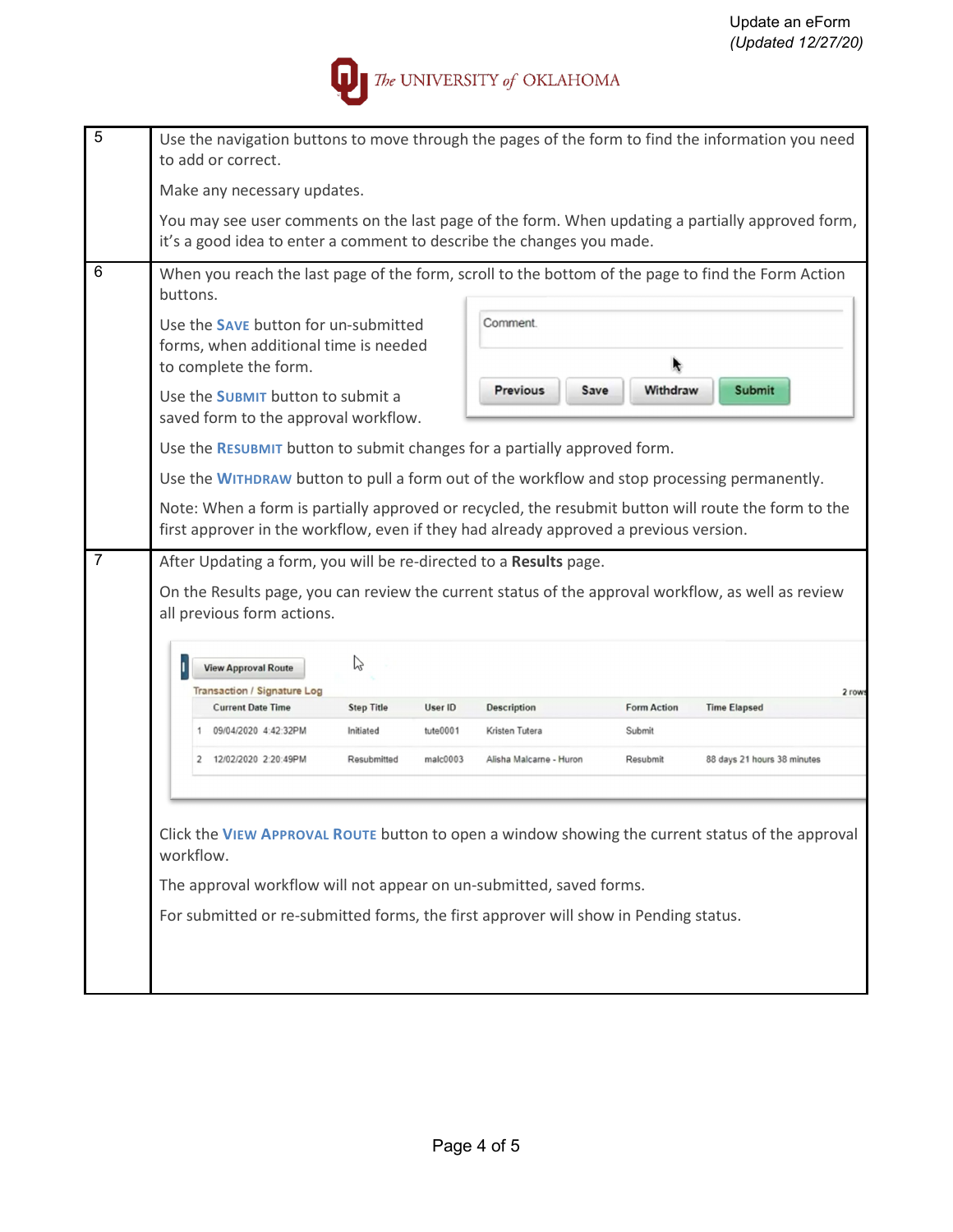

| 5 | Use the navigation buttons to move through the pages of the form to find the information you need<br>to add or correct.                                                                               |  |  |  |  |  |  |  |  |  |
|---|-------------------------------------------------------------------------------------------------------------------------------------------------------------------------------------------------------|--|--|--|--|--|--|--|--|--|
|   | Make any necessary updates.                                                                                                                                                                           |  |  |  |  |  |  |  |  |  |
|   | You may see user comments on the last page of the form. When updating a partially approved form,<br>it's a good idea to enter a comment to describe the changes you made.                             |  |  |  |  |  |  |  |  |  |
| 6 | When you reach the last page of the form, scroll to the bottom of the page to find the Form Action<br>buttons.                                                                                        |  |  |  |  |  |  |  |  |  |
|   | Comment.<br>Use the <b>SAVE</b> button for un-submitted<br>forms, when additional time is needed<br>to complete the form.                                                                             |  |  |  |  |  |  |  |  |  |
|   | <b>Previous</b><br>Withdraw<br><b>Submit</b><br>Save<br>Use the <b>SUBMIT</b> button to submit a<br>saved form to the approval workflow.                                                              |  |  |  |  |  |  |  |  |  |
|   | Use the RESUBMIT button to submit changes for a partially approved form.                                                                                                                              |  |  |  |  |  |  |  |  |  |
|   | Use the WITHDRAW button to pull a form out of the workflow and stop processing permanently.                                                                                                           |  |  |  |  |  |  |  |  |  |
|   | Note: When a form is partially approved or recycled, the resubmit button will route the form to the<br>first approver in the workflow, even if they had already approved a previous version.          |  |  |  |  |  |  |  |  |  |
| 7 | After Updating a form, you will be re-directed to a Results page.<br>On the Results page, you can review the current status of the approval workflow, as well as review<br>all previous form actions. |  |  |  |  |  |  |  |  |  |
|   | B<br><b>View Approval Route</b><br><b>Transaction / Signature Log</b><br>2 rows                                                                                                                       |  |  |  |  |  |  |  |  |  |
|   | <b>Current Date Time</b><br><b>Description</b><br><b>Form Action</b><br><b>Time Elapsed</b><br><b>Step Title</b><br>User ID                                                                           |  |  |  |  |  |  |  |  |  |
|   | 1 09/04/2020 4:42:32PM<br>Kristen Tutera<br>Submit<br>Initiated<br>tute0001                                                                                                                           |  |  |  |  |  |  |  |  |  |
|   | 2 12/02/2020 2:20:49PM<br>Resubmitted<br>malc0003<br>Alisha Malcarne - Huron<br>Resubmit<br>88 days 21 hours 38 minutes                                                                               |  |  |  |  |  |  |  |  |  |
|   |                                                                                                                                                                                                       |  |  |  |  |  |  |  |  |  |
|   | Click the VIEW APPROVAL ROUTE button to open a window showing the current status of the approval<br>workflow.                                                                                         |  |  |  |  |  |  |  |  |  |
|   | The approval workflow will not appear on un-submitted, saved forms.                                                                                                                                   |  |  |  |  |  |  |  |  |  |
|   | For submitted or re-submitted forms, the first approver will show in Pending status.                                                                                                                  |  |  |  |  |  |  |  |  |  |
|   |                                                                                                                                                                                                       |  |  |  |  |  |  |  |  |  |